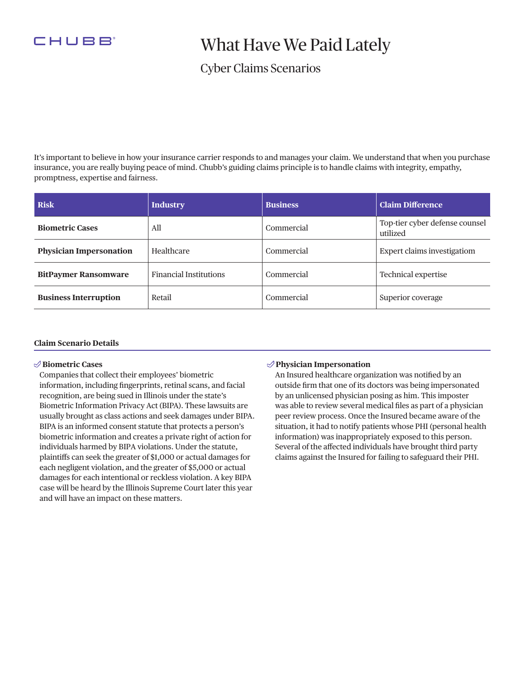

# What Have We Paid Lately

### Cyber Claims Scenarios

It's important to believe in how your insurance carrier responds to and manages your claim. We understand that when you purchase insurance, you are really buying peace of mind. Chubb's guiding claims principle is to handle claims with integrity, empathy, promptness, expertise and fairness.

| <b>Risk</b>                    | <b>Industry</b>               | <b>Business</b> | <b>Claim Difference</b>                    |
|--------------------------------|-------------------------------|-----------------|--------------------------------------------|
| <b>Biometric Cases</b>         | All                           | Commercial      | Top-tier cyber defense counsel<br>utilized |
| <b>Physician Impersonation</b> | Healthcare                    | Commercial      | <b>Expert claims investigatiom</b>         |
| <b>BitPaymer Ransomware</b>    | <b>Financial Institutions</b> | Commercial      | Technical expertise                        |
| <b>Business Interruption</b>   | Retail                        | Commercial      | Superior coverage                          |

#### **Claim Scenario Details**

#### **Biometric Cases**

Companies that collect their employees' biometric information, including fngerprints, retinal scans, and facial recognition, are being sued in Illinois under the state's Biometric Information Privacy Act (BIPA). These lawsuits are usually brought as class actions and seek damages under BIPA. BIPA is an informed consent statute that protects a person's biometric information and creates a private right of action for individuals harmed by BIPA violations. Under the statute, plaintifs can seek the greater of \$1,000 or actual damages for each negligent violation, and the greater of \$5,000 or actual damages for each intentional or reckless violation. A key BIPA case will be heard by the Illinois Supreme Court later this year and will have an impact on these matters.

#### **Physician Impersonation**

An Insured healthcare organization was notifed by an outside frm that one of its doctors was being impersonated by an unlicensed physician posing as him. This imposter was able to review several medical fles as part of a physician peer review process. Once the Insured became aware of the situation, it had to notify patients whose PHI (personal health information) was inappropriately exposed to this person. Several of the afected individuals have brought third party claims against the Insured for failing to safeguard their PHI.